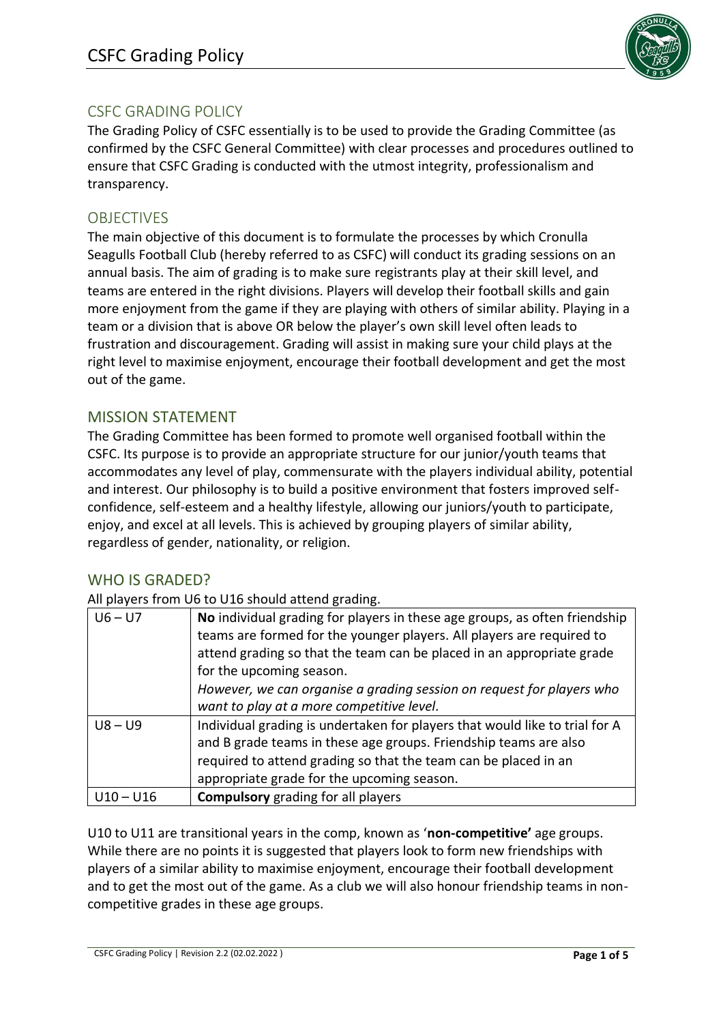

# CSFC GRADING POLICY

The Grading Policy of CSFC essentially is to be used to provide the Grading Committee (as confirmed by the CSFC General Committee) with clear processes and procedures outlined to ensure that CSFC Grading is conducted with the utmost integrity, professionalism and transparency.

## OBJECTIVES

The main objective of this document is to formulate the processes by which Cronulla Seagulls Football Club (hereby referred to as CSFC) will conduct its grading sessions on an annual basis. The aim of grading is to make sure registrants play at their skill level, and teams are entered in the right divisions. Players will develop their football skills and gain more enjoyment from the game if they are playing with others of similar ability. Playing in a team or a division that is above OR below the player's own skill level often leads to frustration and discouragement. Grading will assist in making sure your child plays at the right level to maximise enjoyment, encourage their football development and get the most out of the game.

## MISSION STATEMENT

The Grading Committee has been formed to promote well organised football within the CSFC. Its purpose is to provide an appropriate structure for our junior/youth teams that accommodates any level of play, commensurate with the players individual ability, potential and interest. Our philosophy is to build a positive environment that fosters improved selfconfidence, self-esteem and a healthy lifestyle, allowing our juniors/youth to participate, enjoy, and excel at all levels. This is achieved by grouping players of similar ability, regardless of gender, nationality, or religion.

### WHO IS GRADED?

All players from U6 to U16 should attend grading.

| $U6 - U7$   | No individual grading for players in these age groups, as often friendship<br>teams are formed for the younger players. All players are required to<br>attend grading so that the team can be placed in an appropriate grade<br>for the upcoming season.<br>However, we can organise a grading session on request for players who<br>want to play at a more competitive level. |
|-------------|--------------------------------------------------------------------------------------------------------------------------------------------------------------------------------------------------------------------------------------------------------------------------------------------------------------------------------------------------------------------------------|
| $U8 - U9$   | Individual grading is undertaken for players that would like to trial for A<br>and B grade teams in these age groups. Friendship teams are also<br>required to attend grading so that the team can be placed in an<br>appropriate grade for the upcoming season.                                                                                                               |
| $U10 - U16$ | <b>Compulsory</b> grading for all players                                                                                                                                                                                                                                                                                                                                      |

U10 to U11 are transitional years in the comp, known as '**non-competitive'** age groups. While there are no points it is suggested that players look to form new friendships with players of a similar ability to maximise enjoyment, encourage their football development and to get the most out of the game. As a club we will also honour friendship teams in noncompetitive grades in these age groups.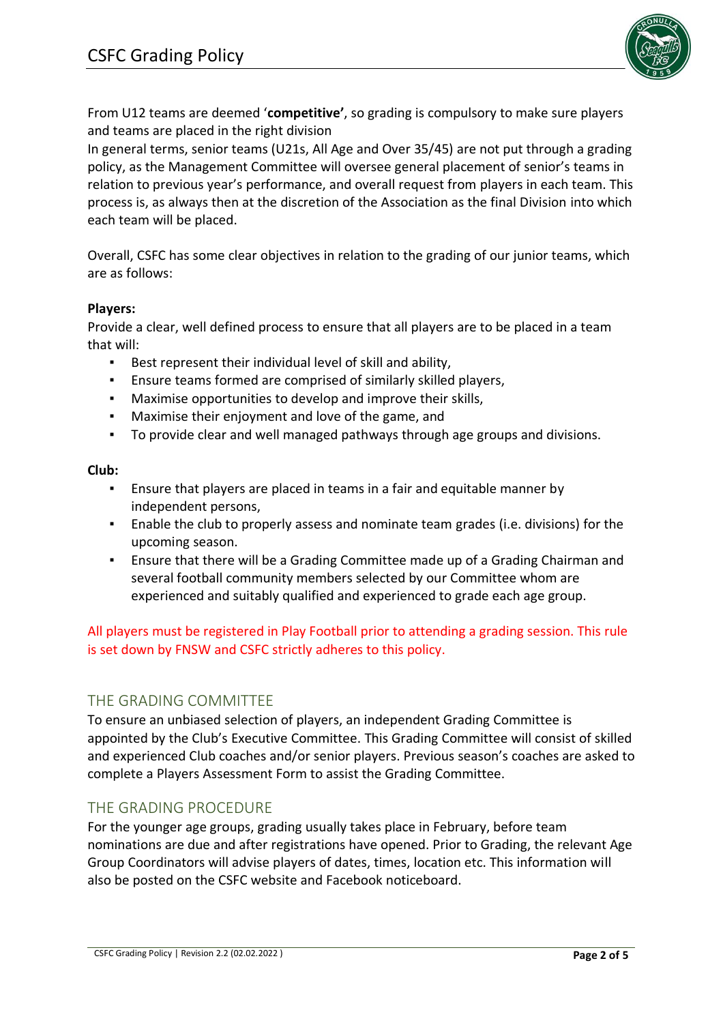

From U12 teams are deemed '**competitive'**, so grading is compulsory to make sure players and teams are placed in the right division

In general terms, senior teams (U21s, All Age and Over 35/45) are not put through a grading policy, as the Management Committee will oversee general placement of senior's teams in relation to previous year's performance, and overall request from players in each team. This process is, as always then at the discretion of the Association as the final Division into which each team will be placed.

Overall, CSFC has some clear objectives in relation to the grading of our junior teams, which are as follows:

### **Players:**

Provide a clear, well defined process to ensure that all players are to be placed in a team that will:

- Best represent their individual level of skill and ability,
- **Ensure teams formed are comprised of similarly skilled players,**
- Maximise opportunities to develop and improve their skills,
- Maximise their enjoyment and love of the game, and
- To provide clear and well managed pathways through age groups and divisions.

#### **Club:**

- Ensure that players are placed in teams in a fair and equitable manner by independent persons,
- Enable the club to properly assess and nominate team grades (i.e. divisions) for the upcoming season.
- Ensure that there will be a Grading Committee made up of a Grading Chairman and several football community members selected by our Committee whom are experienced and suitably qualified and experienced to grade each age group.

All players must be registered in Play Football prior to attending a grading session. This rule is set down by FNSW and CSFC strictly adheres to this policy.

### THE GRADING COMMITTEE

To ensure an unbiased selection of players, an independent Grading Committee is appointed by the Club's Executive Committee. This Grading Committee will consist of skilled and experienced Club coaches and/or senior players. Previous season's coaches are asked to complete a Players Assessment Form to assist the Grading Committee.

### THE GRADING PROCEDURE

For the younger age groups, grading usually takes place in February, before team nominations are due and after registrations have opened. Prior to Grading, the relevant Age Group Coordinators will advise players of dates, times, location etc. This information will also be posted on the CSFC website and Facebook noticeboard.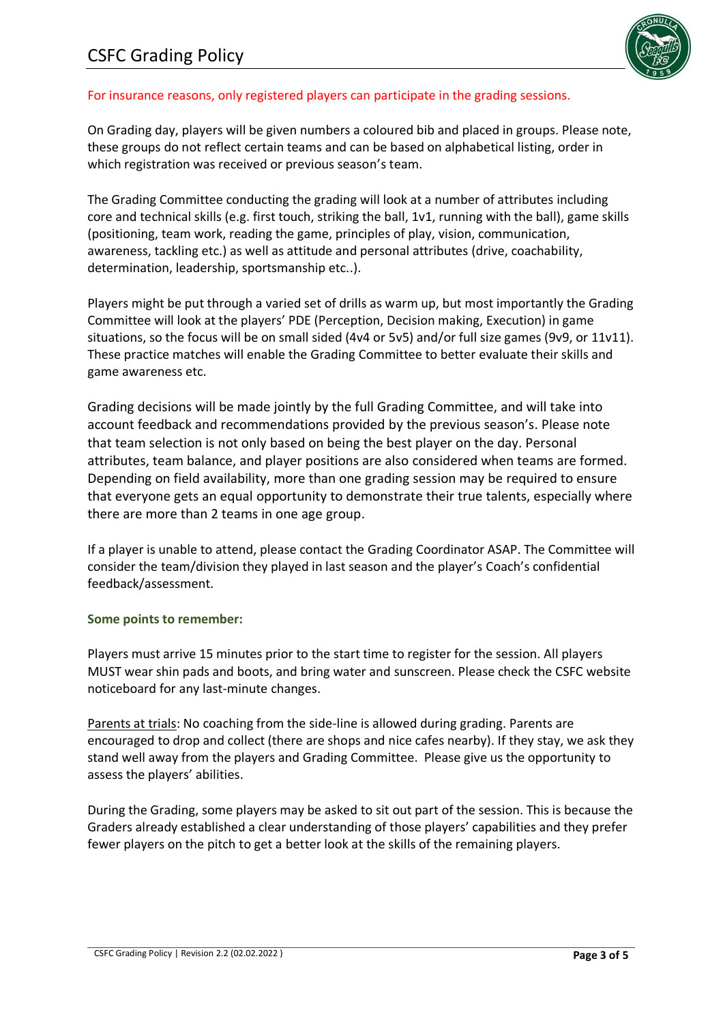

#### For insurance reasons, only registered players can participate in the grading sessions.

On Grading day, players will be given numbers a coloured bib and placed in groups. Please note, these groups do not reflect certain teams and can be based on alphabetical listing, order in which registration was received or previous season's team.

The Grading Committee conducting the grading will look at a number of attributes including core and technical skills (e.g. first touch, striking the ball, 1v1, running with the ball), game skills (positioning, team work, reading the game, principles of play, vision, communication, awareness, tackling etc.) as well as attitude and personal attributes (drive, coachability, determination, leadership, sportsmanship etc..).

Players might be put through a varied set of drills as warm up, but most importantly the Grading Committee will look at the players' PDE (Perception, Decision making, Execution) in game situations, so the focus will be on small sided (4v4 or 5v5) and/or full size games (9v9, or 11v11). These practice matches will enable the Grading Committee to better evaluate their skills and game awareness etc.

Grading decisions will be made jointly by the full Grading Committee, and will take into account feedback and recommendations provided by the previous season's. Please note that team selection is not only based on being the best player on the day. Personal attributes, team balance, and player positions are also considered when teams are formed. Depending on field availability, more than one grading session may be required to ensure that everyone gets an equal opportunity to demonstrate their true talents, especially where there are more than 2 teams in one age group.

If a player is unable to attend, please contact the Grading Coordinator ASAP. The Committee will consider the team/division they played in last season and the player's Coach's confidential feedback/assessment.

#### **Some points to remember:**

Players must arrive 15 minutes prior to the start time to register for the session. All players MUST wear shin pads and boots, and bring water and sunscreen. Please check the CSFC website noticeboard for any last-minute changes.

Parents at trials: No coaching from the side-line is allowed during grading. Parents are encouraged to drop and collect (there are shops and nice cafes nearby). If they stay, we ask they stand well away from the players and Grading Committee. Please give us the opportunity to assess the players' abilities.

During the Grading, some players may be asked to sit out part of the session. This is because the Graders already established a clear understanding of those players' capabilities and they prefer fewer players on the pitch to get a better look at the skills of the remaining players.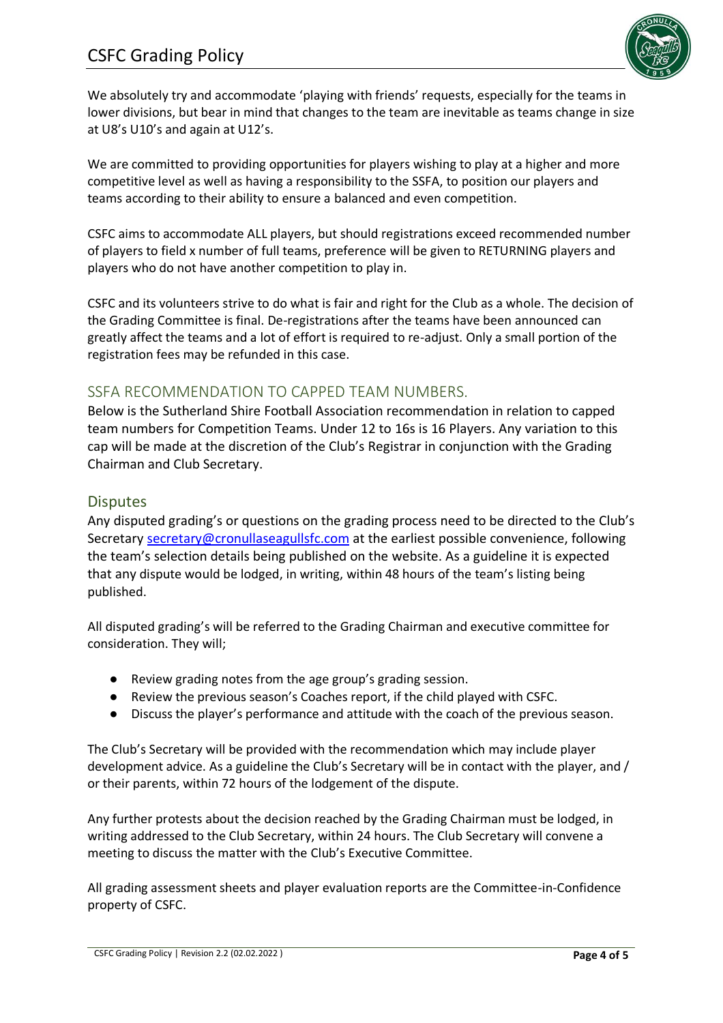

We absolutely try and accommodate 'playing with friends' requests, especially for the teams in lower divisions, but bear in mind that changes to the team are inevitable as teams change in size at U8's U10's and again at U12's.

We are committed to providing opportunities for players wishing to play at a higher and more competitive level as well as having a responsibility to the SSFA, to position our players and teams according to their ability to ensure a balanced and even competition.

CSFC aims to accommodate ALL players, but should registrations exceed recommended number of players to field x number of full teams, preference will be given to RETURNING players and players who do not have another competition to play in.

CSFC and its volunteers strive to do what is fair and right for the Club as a whole. The decision of the Grading Committee is final. De-registrations after the teams have been announced can greatly affect the teams and a lot of effort is required to re-adjust. Only a small portion of the registration fees may be refunded in this case.

### SSFA RECOMMENDATION TO CAPPED TEAM NUMBERS.

Below is the Sutherland Shire Football Association recommendation in relation to capped team numbers for Competition Teams. Under 12 to 16s is 16 Players. Any variation to this cap will be made at the discretion of the Club's Registrar in conjunction with the Grading Chairman and Club Secretary.

### **Disputes**

Any disputed grading's or questions on the grading process need to be directed to the Club's Secretary [secretary@cronullaseagullsfc.com](mailto:secretary@cronullaseagullsfc.com) at the earliest possible convenience, following the team's selection details being published on the website. As a guideline it is expected that any dispute would be lodged, in writing, within 48 hours of the team's listing being published.

All disputed grading's will be referred to the Grading Chairman and executive committee for consideration. They will;

- Review grading notes from the age group's grading session.
- Review the previous season's Coaches report, if the child played with CSFC.
- Discuss the player's performance and attitude with the coach of the previous season.

The Club's Secretary will be provided with the recommendation which may include player development advice. As a guideline the Club's Secretary will be in contact with the player, and / or their parents, within 72 hours of the lodgement of the dispute.

Any further protests about the decision reached by the Grading Chairman must be lodged, in writing addressed to the Club Secretary, within 24 hours. The Club Secretary will convene a meeting to discuss the matter with the Club's Executive Committee.

All grading assessment sheets and player evaluation reports are the Committee-in-Confidence property of CSFC.